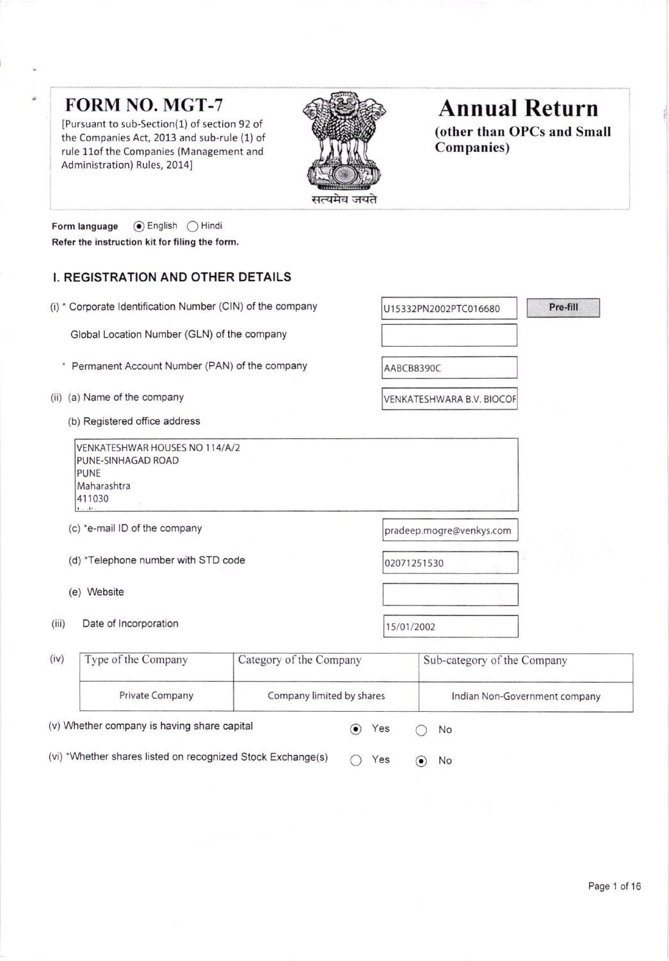## **FORM NO. MGT-7**

[Pursuant to sub-Section(1) of section 92 of the Companies Act, 2013 and sub-rule (1) of rule 11of the Companies (Management and Administration) Rules, 2014]



# **Annual Return**

(other than OPCs and Small **Companies**)

Pre-fill

**⊙** English ◯ Hindi Form language Refer the instruction kit for filing the form.

### I. REGISTRATION AND OTHER DETAILS

(i) \* Corporate Identification Number (CIN) of the company

Global Location Number (GLN) of the company

- \* Permanent Account Number (PAN) of the company
- (ii) (a) Name of the company
	- (b) Registered office address

VENKATESHWAR HOUSES NO 114/A/2 PUNE-SINHAGAD ROAD PUNE Maharashtra 411030

- (c) \*e-mail ID of the company
- (d) \*Telephone number with STD code
- (e) Website
- $(iii)$ Date of Incorporation

pradeep.mogre@venkys.com

U15332PN2002PTC016680

VENKATESHWARA B.V. BIOCOF

02071251530

AABCB8390C

15/01/2002

| (iv)                                                        | Type of the Company                         | Category of the Company   |     |                          |    | Sub-category of the Company   |
|-------------------------------------------------------------|---------------------------------------------|---------------------------|-----|--------------------------|----|-------------------------------|
|                                                             | <b>Private Company</b>                      | Company limited by shares |     |                          |    | Indian Non-Government company |
|                                                             | (v) Whether company is having share capital |                           |     | Yes                      |    | No                            |
| (vi) *Whether shares listed on recognized Stock Exchange(s) |                                             |                           | Yes | $\left( \bullet \right)$ | No |                               |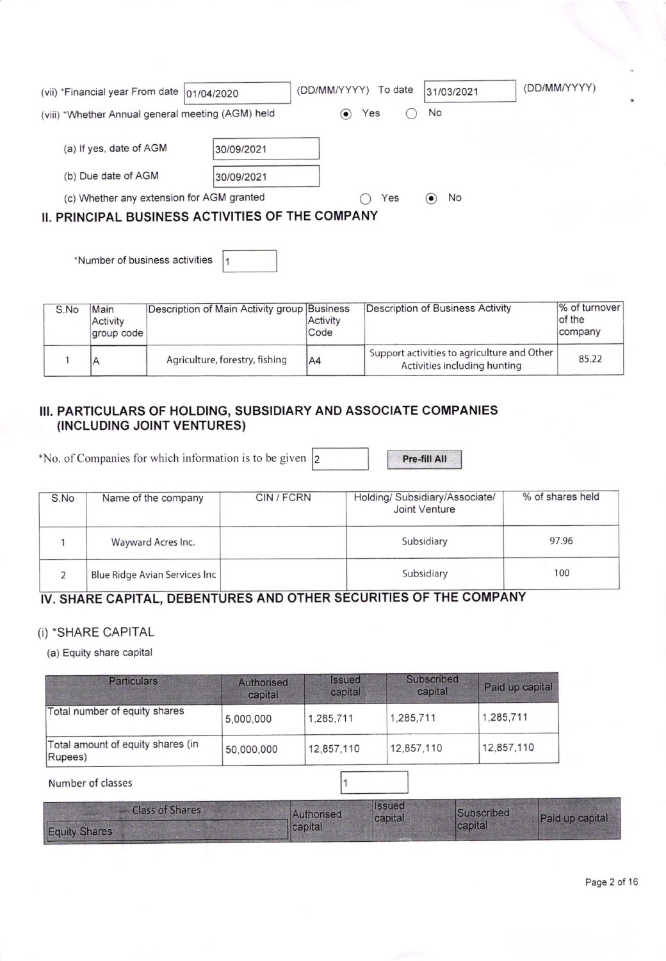| (vii) *Financial year From date   01/04/2020                                                                                       | (DD/MM/YYYY)<br>To date | 31/03/2021                     | (DD/MM/YYYY) |
|------------------------------------------------------------------------------------------------------------------------------------|-------------------------|--------------------------------|--------------|
| (viii) *Whether Annual general meeting (AGM) held                                                                                  | Yes<br>$\bullet)$       | No                             |              |
| (a) If yes, date of AGM<br>30/09/2021                                                                                              |                         |                                |              |
| (b) Due date of AGM<br>30/09/2021<br>(c) Whether any extension for AGM granted<br>II. PRINCIPAL BUSINESS ACTIVITIES OF THE COMPANY | Yes                     | No<br>$\left( \bullet \right)$ |              |

 $|1$ 'Number of business activities

| S.No | Main<br>Activity<br>group code | Description of Main Activity group Business | Activity<br>Code | Description of Business Activity                                            | $%$ of turnover<br>of the<br>company |
|------|--------------------------------|---------------------------------------------|------------------|-----------------------------------------------------------------------------|--------------------------------------|
|      |                                | Agriculture, forestry, fishing              | IA4              | Support activities to agriculture and Other<br>Activities including hunting | 85.22                                |

## III. PARTICULARS OF HOLDING, SUBSIDIARY AND ASSOCIATE COMPANIES (INCLUDING JOINT VENTURES)

\*No. of Companies for which information is to be given  $\vert$ 2 2

Pre-fill All

| S.No | Name of the company           | CIN/FCRN | Holding/ Subsidiary/Associate/<br>Joint Venture | % of shares held |
|------|-------------------------------|----------|-------------------------------------------------|------------------|
|      | Wayward Acres Inc.            |          | Subsidiary                                      | 97.96            |
|      | Blue Ridge Avian Services Inc |          | Subsidiary                                      | 100              |

## IV, SHARE CAPITAL, OEBENTURES AND OTHER SECURITIES OF THE COMPANY

### (i) \*SHARE CAPITAL

(a) Equity share capital

| <b>Particulars</b>                           | Authorised<br>capital | <b>Issued</b><br>capital | Subscribed<br>capital | Paid up capital |
|----------------------------------------------|-----------------------|--------------------------|-----------------------|-----------------|
| Total number of equity shares                | 5,000,000             | 1,285,711                | 1,285,711             | 1,285,711       |
| Total amount of equity shares (in<br>Rupees) | 50,000,000            | 12,857,110               | 12,857,110            | 12,857,110      |

#### Number of classes 11

| <b>Class of Shares</b> | Authorised | <b>Ilssued</b><br>capital | Subscribed | Paid up capital |
|------------------------|------------|---------------------------|------------|-----------------|
| <b>Equity Shares</b>   | capital    |                           | capital    |                 |